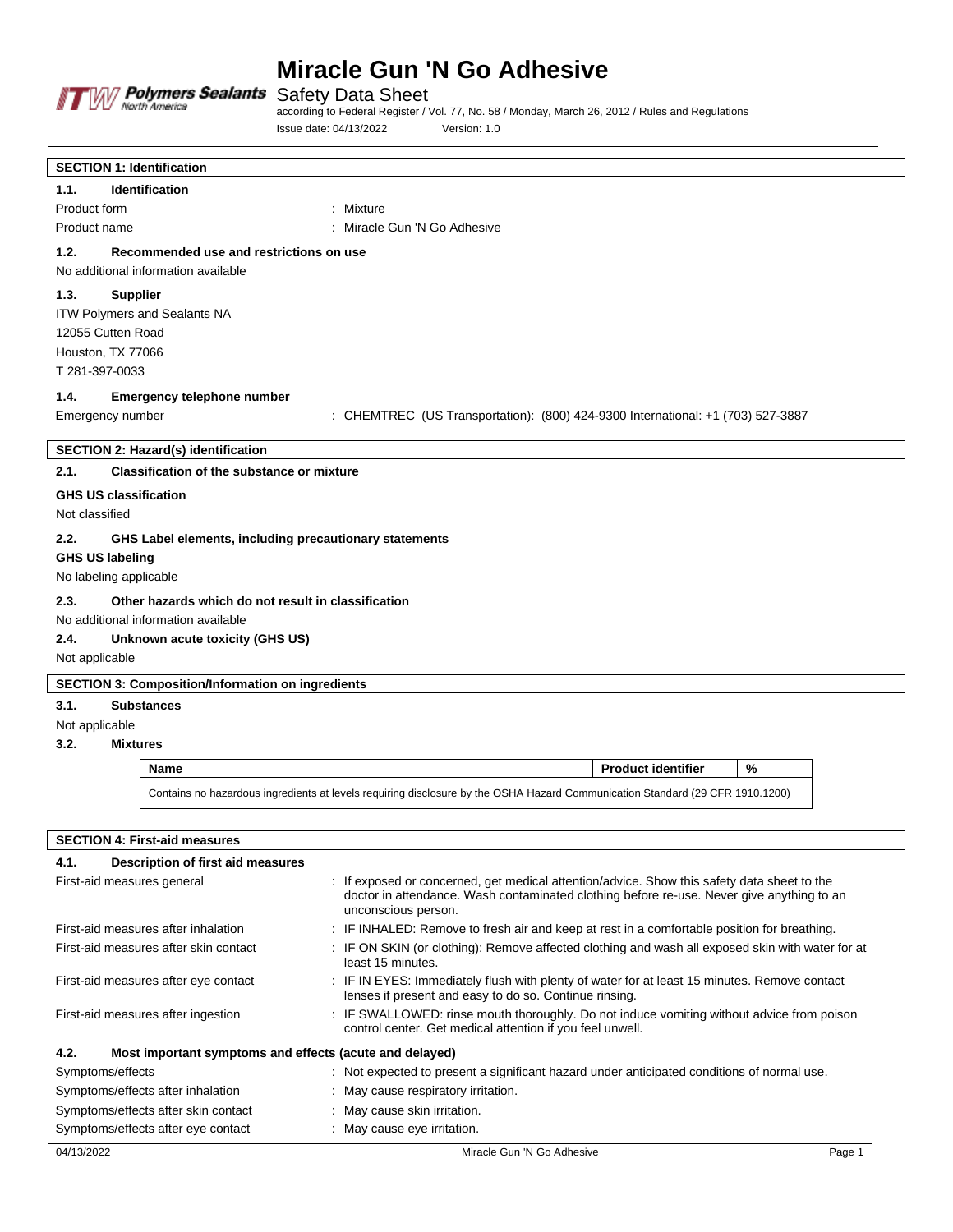

Safety Data Sheet

according to Federal Register / Vol. 77, No. 58 / Monday, March 26, 2012 / Rules and Regulations Issue date: 04/13/2022 Version: 1.0

| <b>SECTION 1: Identification</b>                               |                                                                                                                               |  |  |  |  |
|----------------------------------------------------------------|-------------------------------------------------------------------------------------------------------------------------------|--|--|--|--|
| 1.1.<br>Identification                                         |                                                                                                                               |  |  |  |  |
| Product form<br>: Mixture                                      |                                                                                                                               |  |  |  |  |
| Product name                                                   | : Miracle Gun 'N Go Adhesive                                                                                                  |  |  |  |  |
| 1.2.<br>Recommended use and restrictions on use                |                                                                                                                               |  |  |  |  |
| No additional information available                            |                                                                                                                               |  |  |  |  |
| <b>Supplier</b><br>1.3.                                        |                                                                                                                               |  |  |  |  |
| ITW Polymers and Sealants NA                                   |                                                                                                                               |  |  |  |  |
| 12055 Cutten Road                                              |                                                                                                                               |  |  |  |  |
| Houston, TX 77066                                              |                                                                                                                               |  |  |  |  |
| T 281-397-0033                                                 |                                                                                                                               |  |  |  |  |
| 1.4.<br><b>Emergency telephone number</b>                      |                                                                                                                               |  |  |  |  |
| Emergency number                                               | : CHEMTREC (US Transportation): (800) 424-9300 International: +1 (703) 527-3887                                               |  |  |  |  |
| <b>SECTION 2: Hazard(s) identification</b>                     |                                                                                                                               |  |  |  |  |
| 2.1.<br><b>Classification of the substance or mixture</b>      |                                                                                                                               |  |  |  |  |
| <b>GHS US classification</b>                                   |                                                                                                                               |  |  |  |  |
| Not classified                                                 |                                                                                                                               |  |  |  |  |
| 2.2.<br>GHS Label elements, including precautionary statements |                                                                                                                               |  |  |  |  |
| <b>GHS US labeling</b>                                         |                                                                                                                               |  |  |  |  |
| No labeling applicable                                         |                                                                                                                               |  |  |  |  |
| 2.3.<br>Other hazards which do not result in classification    |                                                                                                                               |  |  |  |  |
| No additional information available                            |                                                                                                                               |  |  |  |  |
| 2.4.<br>Unknown acute toxicity (GHS US)                        |                                                                                                                               |  |  |  |  |
| Not applicable                                                 |                                                                                                                               |  |  |  |  |
| <b>SECTION 3: Composition/Information on ingredients</b>       |                                                                                                                               |  |  |  |  |
| 3.1.<br><b>Substances</b>                                      |                                                                                                                               |  |  |  |  |
| Not applicable                                                 |                                                                                                                               |  |  |  |  |
| 3.2.<br><b>Mixtures</b>                                        |                                                                                                                               |  |  |  |  |
| <b>Name</b>                                                    | $\%$<br><b>Product identifier</b>                                                                                             |  |  |  |  |
|                                                                | Contains no hazardous ingredients at levels requiring disclosure by the OSHA Hazard Communication Standard (29 CFR 1910.1200) |  |  |  |  |
|                                                                |                                                                                                                               |  |  |  |  |

| <b>SECTION 4: First-aid measures</b>                            |                                                                                                                                                                                                                 |  |  |
|-----------------------------------------------------------------|-----------------------------------------------------------------------------------------------------------------------------------------------------------------------------------------------------------------|--|--|
| Description of first aid measures<br>4.1.                       |                                                                                                                                                                                                                 |  |  |
| First-aid measures general                                      | : If exposed or concerned, get medical attention/advice. Show this safety data sheet to the<br>doctor in attendance. Wash contaminated clothing before re-use. Never give anything to an<br>unconscious person. |  |  |
| First-aid measures after inhalation                             | : IF INHALED: Remove to fresh air and keep at rest in a comfortable position for breathing.                                                                                                                     |  |  |
| First-aid measures after skin contact                           | : IF ON SKIN (or clothing): Remove affected clothing and wash all exposed skin with water for at<br>least 15 minutes.                                                                                           |  |  |
| First-aid measures after eye contact                            | : IF IN EYES: Immediately flush with plenty of water for at least 15 minutes. Remove contact<br>lenses if present and easy to do so. Continue rinsing.                                                          |  |  |
| First-aid measures after ingestion                              | : IF SWALLOWED: rinse mouth thoroughly. Do not induce vomiting without advice from poison<br>control center. Get medical attention if you feel unwell.                                                          |  |  |
| 4.2.<br>Most important symptoms and effects (acute and delayed) |                                                                                                                                                                                                                 |  |  |
| Symptoms/effects                                                | : Not expected to present a significant hazard under anticipated conditions of normal use.                                                                                                                      |  |  |
| Symptoms/effects after inhalation                               | : May cause respiratory irritation.                                                                                                                                                                             |  |  |
| Symptoms/effects after skin contact                             | May cause skin irritation.                                                                                                                                                                                      |  |  |
| Symptoms/effects after eye contact                              | : May cause eye irritation.                                                                                                                                                                                     |  |  |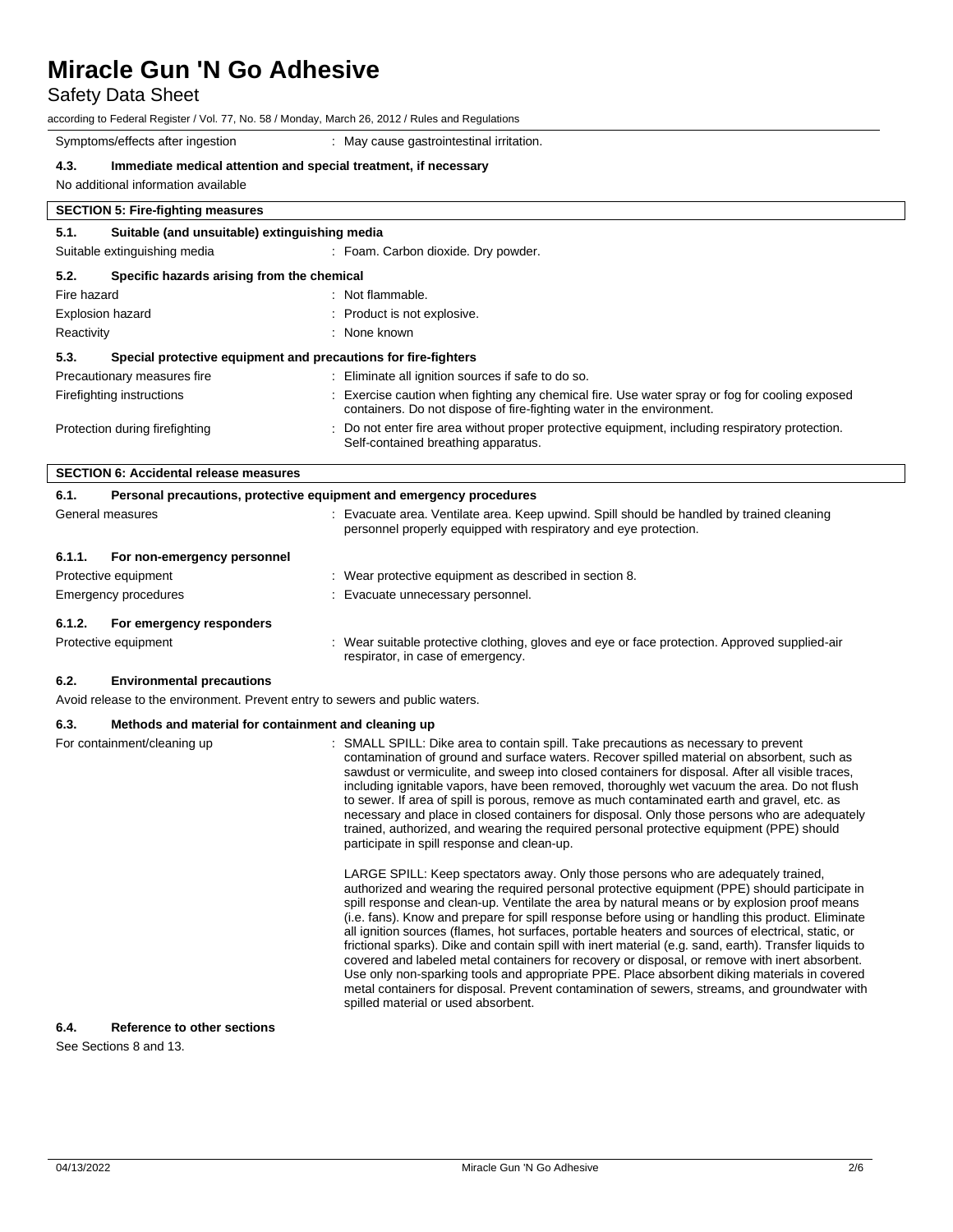# Safety Data Sheet

| according to Federal Register / Vol. 77, No. 58 / Monday, March 26, 2012 / Rules and Regulations |  |
|--------------------------------------------------------------------------------------------------|--|
|--------------------------------------------------------------------------------------------------|--|

Symptoms/effects after ingestion : May cause gastrointestinal irritation.

### **4.3. Immediate medical attention and special treatment, if necessary**

No additional information available

# **SECTION 5: Fire-fighting measures 5.1. Suitable (and unsuitable) extinguishing media** Suitable extinguishing media : Foam. Carbon dioxide. Dry powder. **5.2. Specific hazards arising from the chemical** Fire hazard **in the set of the set of the set of the set of the set of the set of the set of the set of the set of the set of the set of the set of the set of the set of the set of the set of the set of the set of the set** Explosion hazard **in the set of the set of the set of the set of the set of the set of the set of the set of the set of the set of the set of the set of the set of the set of the set of the set of the set of the set of the** Reactivity **Example 2018** Reactivity **: None known 5.3. Special protective equipment and precautions for fire-fighters** Precautionary measures fire : Eliminate all ignition sources if safe to do so. Firefighting instructions **interpretent in the Exercise caution when fighting any chemical fire.** Use water spray or fog for cooling exposed containers. Do not dispose of fire-fighting water in the environment. Protection during firefighting  $\qquad \qquad \qquad$  : Do not enter fire area without proper protective equipment, including respiratory protection. Self-contained breathing apparatus. **SECTION 6: Accidental release measures**

| 6.1.                        | Personal precautions, protective equipment and emergency procedures          |                                                                                                                                                                                                                                                                                                                                                                                                                                                                                                                                                                                                                                                                                                                                                                                                                                                                                                                                                   |  |
|-----------------------------|------------------------------------------------------------------------------|---------------------------------------------------------------------------------------------------------------------------------------------------------------------------------------------------------------------------------------------------------------------------------------------------------------------------------------------------------------------------------------------------------------------------------------------------------------------------------------------------------------------------------------------------------------------------------------------------------------------------------------------------------------------------------------------------------------------------------------------------------------------------------------------------------------------------------------------------------------------------------------------------------------------------------------------------|--|
|                             | General measures                                                             | : Evacuate area. Ventilate area. Keep upwind. Spill should be handled by trained cleaning<br>personnel properly equipped with respiratory and eye protection.                                                                                                                                                                                                                                                                                                                                                                                                                                                                                                                                                                                                                                                                                                                                                                                     |  |
| 6.1.1.                      | For non-emergency personnel                                                  |                                                                                                                                                                                                                                                                                                                                                                                                                                                                                                                                                                                                                                                                                                                                                                                                                                                                                                                                                   |  |
|                             | Protective equipment                                                         | : Wear protective equipment as described in section 8.                                                                                                                                                                                                                                                                                                                                                                                                                                                                                                                                                                                                                                                                                                                                                                                                                                                                                            |  |
|                             | Emergency procedures                                                         | : Evacuate unnecessary personnel.                                                                                                                                                                                                                                                                                                                                                                                                                                                                                                                                                                                                                                                                                                                                                                                                                                                                                                                 |  |
| 6.1.2.                      | For emergency responders                                                     |                                                                                                                                                                                                                                                                                                                                                                                                                                                                                                                                                                                                                                                                                                                                                                                                                                                                                                                                                   |  |
|                             | Protective equipment                                                         | : Wear suitable protective clothing, gloves and eye or face protection. Approved supplied-air<br>respirator, in case of emergency.                                                                                                                                                                                                                                                                                                                                                                                                                                                                                                                                                                                                                                                                                                                                                                                                                |  |
| 6.2.                        | <b>Environmental precautions</b>                                             |                                                                                                                                                                                                                                                                                                                                                                                                                                                                                                                                                                                                                                                                                                                                                                                                                                                                                                                                                   |  |
|                             | Avoid release to the environment. Prevent entry to sewers and public waters. |                                                                                                                                                                                                                                                                                                                                                                                                                                                                                                                                                                                                                                                                                                                                                                                                                                                                                                                                                   |  |
| 6.3.                        | Methods and material for containment and cleaning up                         |                                                                                                                                                                                                                                                                                                                                                                                                                                                                                                                                                                                                                                                                                                                                                                                                                                                                                                                                                   |  |
| For containment/cleaning up |                                                                              | : SMALL SPILL: Dike area to contain spill. Take precautions as necessary to prevent<br>contamination of ground and surface waters. Recover spilled material on absorbent, such as<br>sawdust or vermiculite, and sweep into closed containers for disposal. After all visible traces,<br>including ignitable vapors, have been removed, thoroughly wet vacuum the area. Do not flush<br>to sewer. If area of spill is porous, remove as much contaminated earth and gravel, etc. as<br>necessary and place in closed containers for disposal. Only those persons who are adequately<br>trained, authorized, and wearing the required personal protective equipment (PPE) should<br>participate in spill response and clean-up.                                                                                                                                                                                                                    |  |
|                             |                                                                              | LARGE SPILL: Keep spectators away. Only those persons who are adequately trained,<br>authorized and wearing the required personal protective equipment (PPE) should participate in<br>spill response and clean-up. Ventilate the area by natural means or by explosion proof means<br>(i.e. fans). Know and prepare for spill response before using or handling this product. Eliminate<br>all ignition sources (flames, hot surfaces, portable heaters and sources of electrical, static, or<br>frictional sparks). Dike and contain spill with inert material (e.g. sand, earth). Transfer liquids to<br>covered and labeled metal containers for recovery or disposal, or remove with inert absorbent.<br>Use only non-sparking tools and appropriate PPE. Place absorbent diking materials in covered<br>metal containers for disposal. Prevent contamination of sewers, streams, and groundwater with<br>spilled material or used absorbent. |  |

# **6.4. Reference to other sections**

See Sections 8 and 13.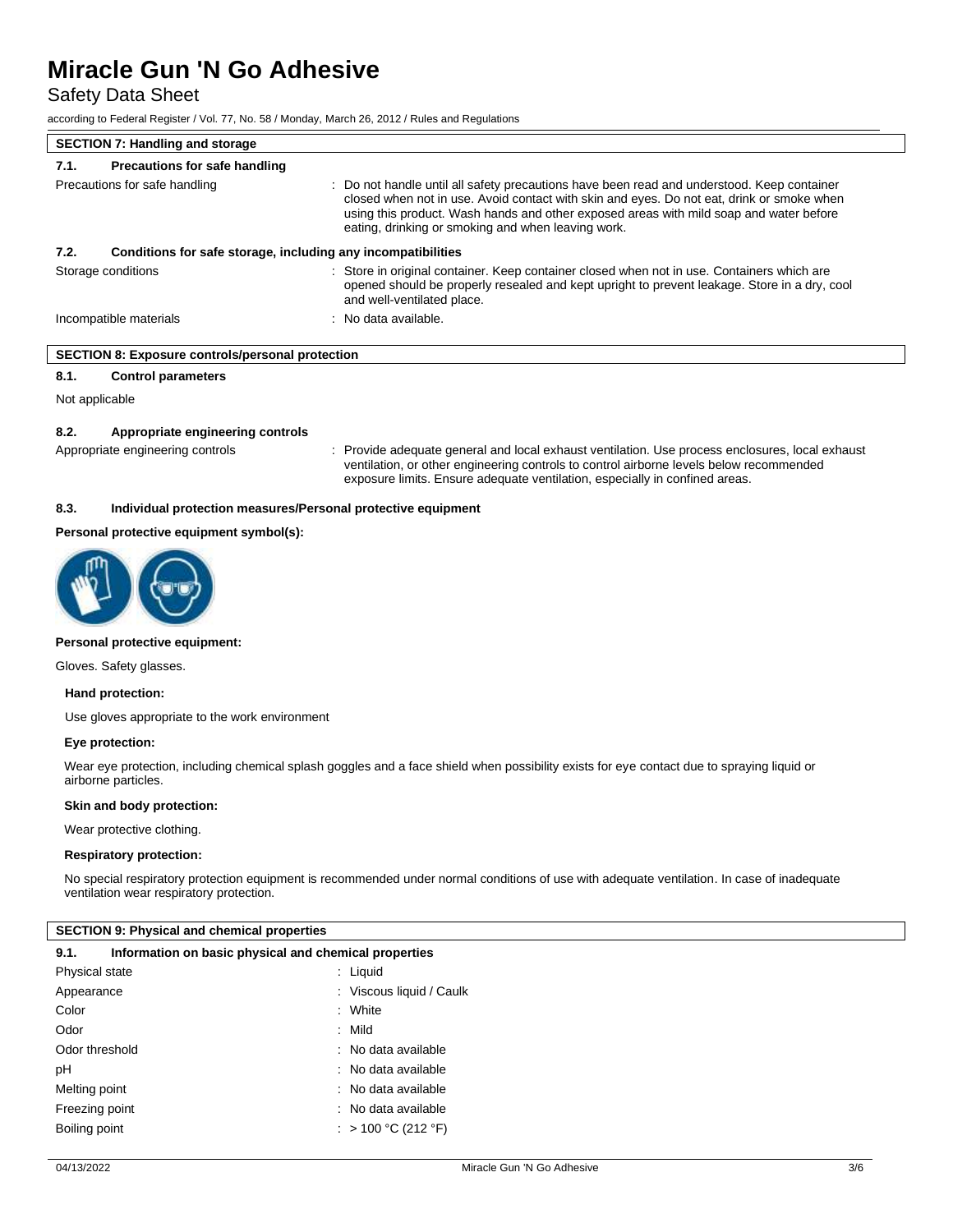Safety Data Sheet

according to Federal Register / Vol. 77, No. 58 / Monday, March 26, 2012 / Rules and Regulations

| <b>SECTION 7: Handling and storage</b> |                                                              |                                                                                                                                                                                                                                                                                                                                         |
|----------------------------------------|--------------------------------------------------------------|-----------------------------------------------------------------------------------------------------------------------------------------------------------------------------------------------------------------------------------------------------------------------------------------------------------------------------------------|
| 7.1.                                   | <b>Precautions for safe handling</b>                         |                                                                                                                                                                                                                                                                                                                                         |
| Precautions for safe handling          |                                                              | : Do not handle until all safety precautions have been read and understood. Keep container<br>closed when not in use. Avoid contact with skin and eyes. Do not eat, drink or smoke when<br>using this product. Wash hands and other exposed areas with mild soap and water before<br>eating, drinking or smoking and when leaving work. |
| 7.2.                                   | Conditions for safe storage, including any incompatibilities |                                                                                                                                                                                                                                                                                                                                         |
| Storage conditions                     |                                                              | : Store in original container. Keep container closed when not in use. Containers which are<br>opened should be properly resealed and kept upright to prevent leakage. Store in a dry, cool<br>and well-ventilated place.                                                                                                                |
| Incompatible materials                 |                                                              | : No data available.                                                                                                                                                                                                                                                                                                                    |

### **SECTION 8: Exposure controls/personal protection**

**8.1. Control parameters**

Not applicable

### **8.2. Appropriate engineering controls**

Appropriate engineering controls : Provide adequate general and local exhaust ventilation. Use process enclosures, local exhaust ventilation, or other engineering controls to control airborne levels below recommended exposure limits. Ensure adequate ventilation, especially in confined areas.

### **8.3. Individual protection measures/Personal protective equipment**

### **Personal protective equipment symbol(s):**



#### **Personal protective equipment:**

Gloves. Safety glasses.

#### **Hand protection:**

Use gloves appropriate to the work environment

### **Eye protection:**

Wear eye protection, including chemical splash goggles and a face shield when possibility exists for eye contact due to spraying liquid or airborne particles.

#### **Skin and body protection:**

Wear protective clothing.

### **Respiratory protection:**

No special respiratory protection equipment is recommended under normal conditions of use with adequate ventilation. In case of inadequate ventilation wear respiratory protection.

### **SECTION 9: Physical and chemical properties**

| Information on basic physical and chemical properties<br>9.1. |                          |  |  |  |
|---------------------------------------------------------------|--------------------------|--|--|--|
| <b>Physical state</b>                                         | : Liquid                 |  |  |  |
| Appearance                                                    | : Viscous liquid / Caulk |  |  |  |
| Color                                                         | : White                  |  |  |  |
| Odor                                                          | $:$ Mild                 |  |  |  |
| Odor threshold                                                | : No data available      |  |  |  |
| рH                                                            | : No data available      |  |  |  |
| Melting point                                                 | : No data available      |  |  |  |
| Freezing point                                                | : No data available      |  |  |  |
| Boiling point                                                 | : > 100 °C (212 °F)      |  |  |  |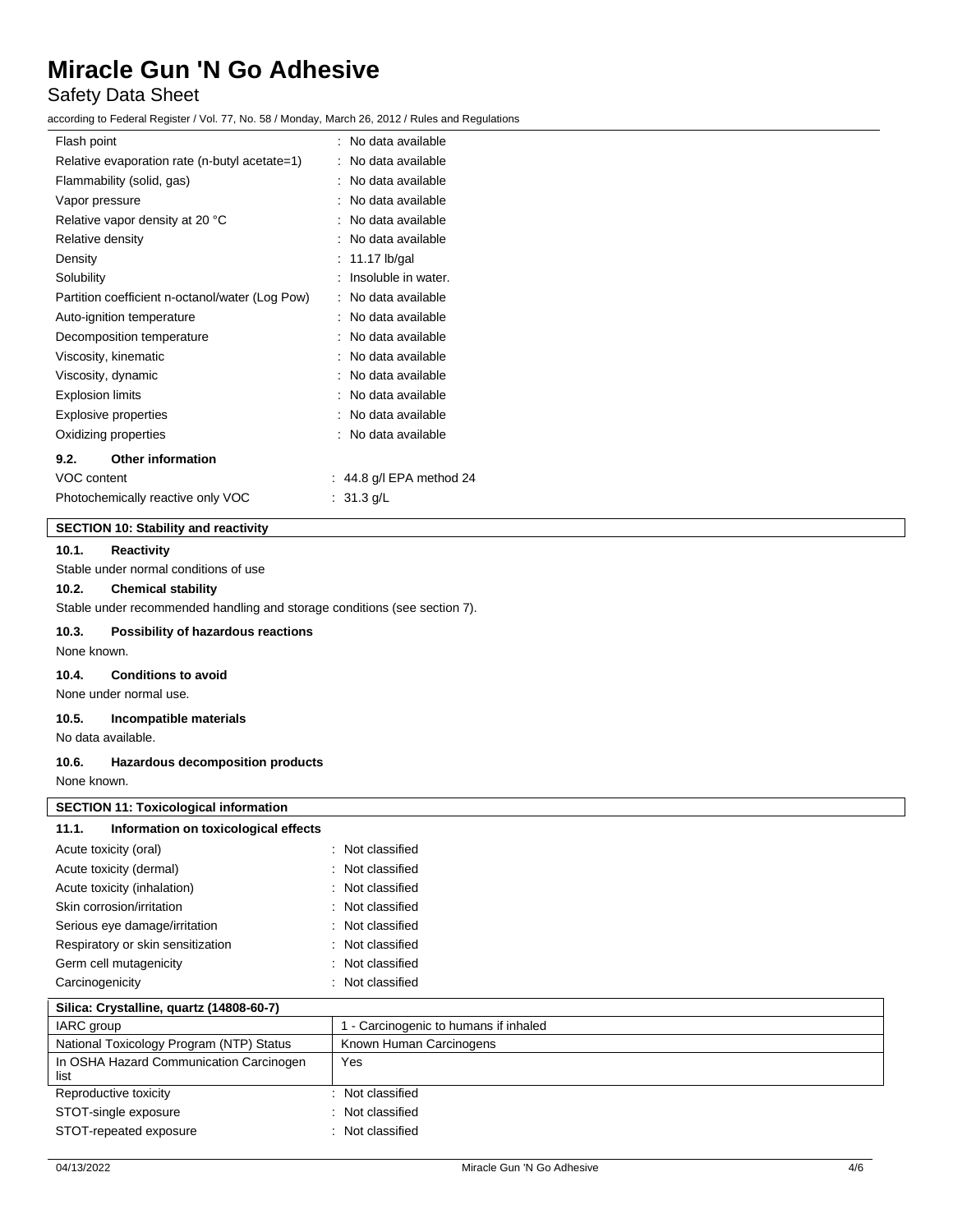# Safety Data Sheet

according to Federal Register / Vol. 77, No. 58 / Monday, March 26, 2012 / Rules and Regulations

| Flash point                                     | No data available<br>۰. |
|-------------------------------------------------|-------------------------|
| Relative evaporation rate (n-butyl acetate=1)   | No data available       |
| Flammability (solid, gas)                       | No data available       |
| Vapor pressure                                  | No data available       |
| Relative vapor density at 20 °C                 | No data available       |
| Relative density                                | No data available       |
| Density                                         | 11.17 lb/gal            |
| Solubility                                      | Insoluble in water.     |
| Partition coefficient n-octanol/water (Log Pow) | No data available       |
| Auto-ignition temperature                       | No data available       |
| Decomposition temperature                       | No data available       |
| Viscosity, kinematic                            | No data available       |
| Viscosity, dynamic                              | No data available       |
| <b>Explosion limits</b>                         | No data available       |
| <b>Explosive properties</b>                     | No data available       |
| Oxidizing properties                            | No data available       |
| <b>Other information</b><br>9.2.                |                         |
| VOC content                                     | 44.8 g/l EPA method 24  |
| Photochemically reactive only VOC               | $31.3$ g/L              |

# **SECTION 10: Stability and reactivity**

## **10.1. Reactivity**

Stable under normal conditions of use

### **10.2. Chemical stability**

Stable under recommended handling and storage conditions (see section 7).

## **10.3. Possibility of hazardous reactions**

None known.

# **10.4. Conditions to avoid**

None under normal use.

## **10.5. Incompatible materials**

No data available.

### **10.6. Hazardous decomposition products**

None known.

| <b>SECTION 11: Toxicological information</b>    |                                       |
|-------------------------------------------------|---------------------------------------|
| Information on toxicological effects<br>11.1.   |                                       |
| Acute toxicity (oral)                           | : Not classified                      |
| Acute toxicity (dermal)                         | : Not classified                      |
| Acute toxicity (inhalation)                     | : Not classified                      |
| Skin corrosion/irritation                       | : Not classified                      |
| Serious eye damage/irritation                   | : Not classified                      |
| Respiratory or skin sensitization               | : Not classified                      |
| Germ cell mutagenicity                          | : Not classified                      |
| Carcinogenicity                                 | : Not classified                      |
| Silica: Crystalline, quartz (14808-60-7)        |                                       |
| IARC group                                      | 1 - Carcinogenic to humans if inhaled |
| National Toxicology Program (NTP) Status        | Known Human Carcinogens               |
| In OSHA Hazard Communication Carcinogen<br>list | Yes                                   |
| Reproductive toxicity                           | : Not classified                      |
| STOT-single exposure                            | : Not classified                      |
| STOT-repeated exposure                          | : Not classified                      |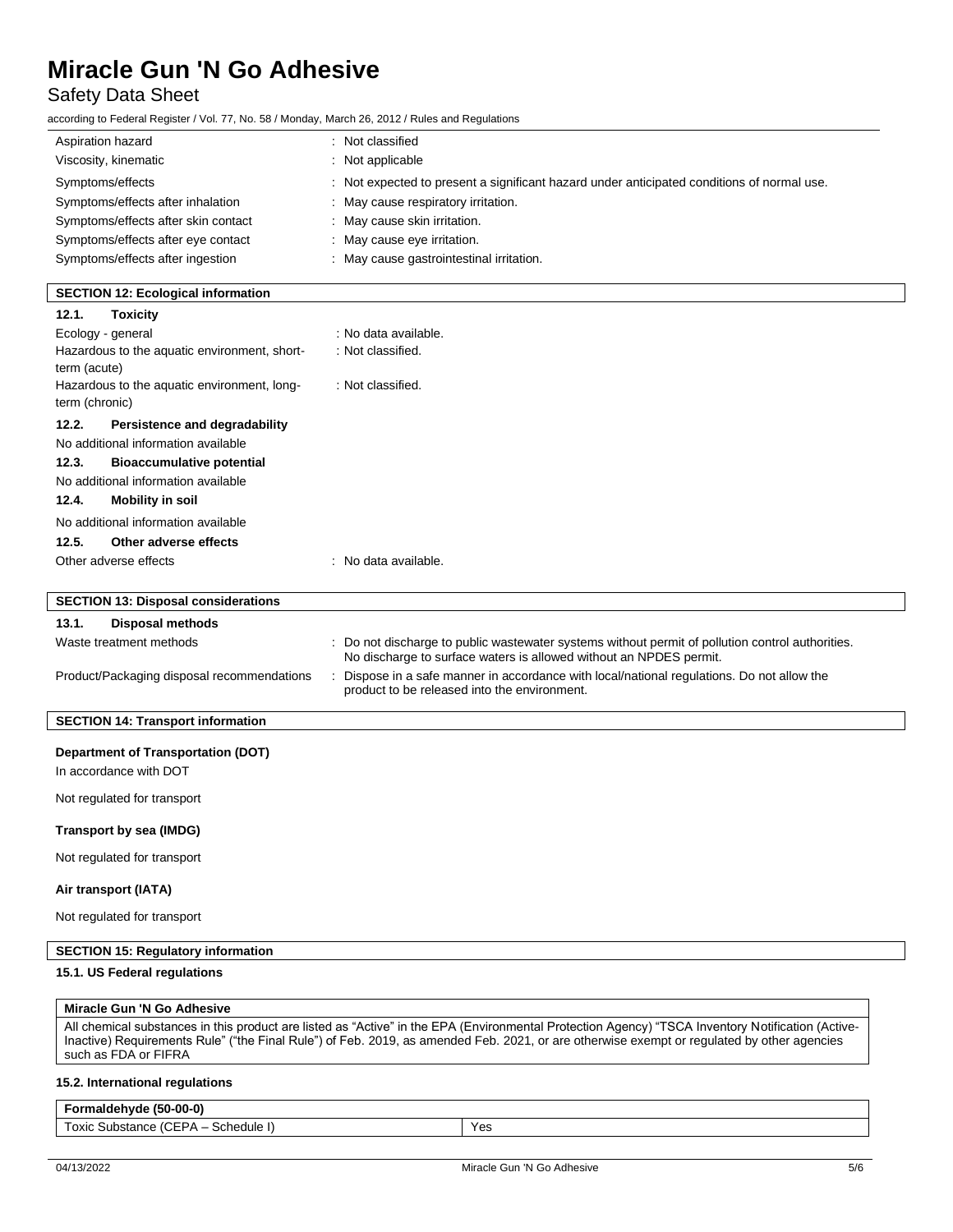# Safety Data Sheet

| according to Federal Register / Vol. 77, No. 58 / Monday, March 26, 2012 / Rules and Regulations |                                                                                                                                            |
|--------------------------------------------------------------------------------------------------|--------------------------------------------------------------------------------------------------------------------------------------------|
| Aspiration hazard                                                                                | : Not classified                                                                                                                           |
| Viscosity, kinematic                                                                             | : Not applicable                                                                                                                           |
| Symptoms/effects                                                                                 | : Not expected to present a significant hazard under anticipated conditions of normal use.                                                 |
| Symptoms/effects after inhalation                                                                | May cause respiratory irritation.                                                                                                          |
| Symptoms/effects after skin contact                                                              | : May cause skin irritation.                                                                                                               |
| Symptoms/effects after eye contact                                                               | : May cause eye irritation.                                                                                                                |
| Symptoms/effects after ingestion                                                                 | : May cause gastrointestinal irritation.                                                                                                   |
|                                                                                                  |                                                                                                                                            |
| <b>SECTION 12: Ecological information</b>                                                        |                                                                                                                                            |
| 12.1.<br><b>Toxicity</b>                                                                         |                                                                                                                                            |
| Ecology - general                                                                                | : No data available.                                                                                                                       |
| Hazardous to the aquatic environment, short-                                                     | : Not classified.                                                                                                                          |
| term (acute)<br>Hazardous to the aquatic environment, long-                                      | : Not classified.                                                                                                                          |
| term (chronic)                                                                                   |                                                                                                                                            |
| 12.2.<br>Persistence and degradability                                                           |                                                                                                                                            |
| No additional information available                                                              |                                                                                                                                            |
| 12.3.<br><b>Bioaccumulative potential</b>                                                        |                                                                                                                                            |
| No additional information available                                                              |                                                                                                                                            |
| 12.4.<br><b>Mobility in soil</b>                                                                 |                                                                                                                                            |
| No additional information available                                                              |                                                                                                                                            |
| 12.5.<br>Other adverse effects                                                                   |                                                                                                                                            |
| Other adverse effects                                                                            | : No data available.                                                                                                                       |
|                                                                                                  |                                                                                                                                            |
| <b>SECTION 13: Disposal considerations</b>                                                       |                                                                                                                                            |
| 13.1.<br><b>Disposal methods</b>                                                                 |                                                                                                                                            |
| Waste treatment methods                                                                          | : Do not discharge to public wastewater systems without permit of pollution control authorities.                                           |
|                                                                                                  | No discharge to surface waters is allowed without an NPDES permit.                                                                         |
| Product/Packaging disposal recommendations                                                       | : Dispose in a safe manner in accordance with local/national regulations. Do not allow the<br>product to be released into the environment. |
|                                                                                                  |                                                                                                                                            |
| <b>SECTION 14: Transport information</b>                                                         |                                                                                                                                            |
| <b>Department of Transportation (DOT)</b>                                                        |                                                                                                                                            |
| In accordance with DOT                                                                           |                                                                                                                                            |
|                                                                                                  |                                                                                                                                            |
| Not regulated for transport                                                                      |                                                                                                                                            |
| <b>Transport by sea (IMDG)</b>                                                                   |                                                                                                                                            |
| Not regulated for transport                                                                      |                                                                                                                                            |
| Air transport (IATA)                                                                             |                                                                                                                                            |
| Not regulated for transport                                                                      |                                                                                                                                            |
| <b>SECTION 15: Regulatory information</b>                                                        |                                                                                                                                            |
| 15.1. US Federal regulations                                                                     |                                                                                                                                            |
|                                                                                                  |                                                                                                                                            |
| Miracle Gun 'N Go Adhesive                                                                       |                                                                                                                                            |

All chemical substances in this product are listed as "Active" in the EPA (Environmental Protection Agency) "TSCA Inventory Notification (Active-Inactive) Requirements Rule" ("the Final Rule") of Feb. 2019, as amended Feb. 2021, or are otherwise exempt or regulated by other agencies such as FDA or FIFRA

## **15.2. International regulations**

## **Formaldehyde (50-00-0)** Toxic Substance (CEPA – Schedule I) Yes